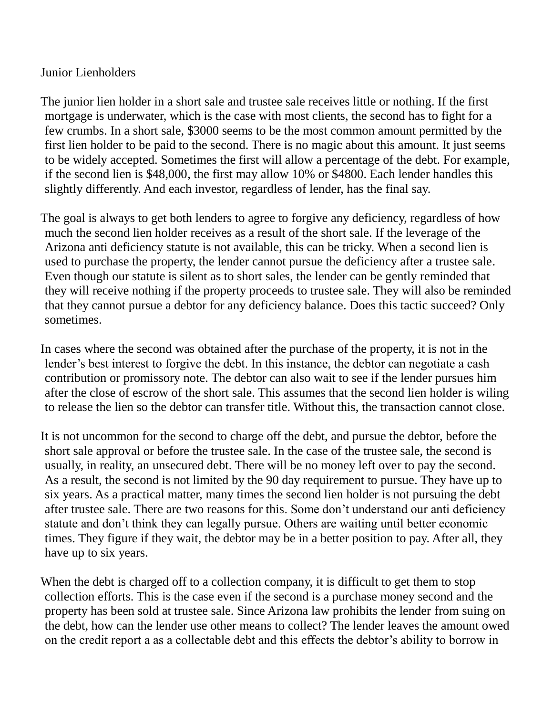## Junior Lienholders

The junior lien holder in a short sale and trustee sale receives little or nothing. If the first mortgage is underwater, which is the case with most clients, the second has to fight for a few crumbs. In a short sale, \$3000 seems to be the most common amount permitted by the first lien holder to be paid to the second. There is no magic about this amount. It just seems to be widely accepted. Sometimes the first will allow a percentage of the debt. For example, if the second lien is \$48,000, the first may allow 10% or \$4800. Each lender handles this slightly differently. And each investor, regardless of lender, has the final say.

The goal is always to get both lenders to agree to forgive any deficiency, regardless of how much the second lien holder receives as a result of the short sale. If the leverage of the Arizona anti deficiency statute is not available, this can be tricky. When a second lien is used to purchase the property, the lender cannot pursue the deficiency after a trustee sale. Even though our statute is silent as to short sales, the lender can be gently reminded that they will receive nothing if the property proceeds to trustee sale. They will also be reminded that they cannot pursue a debtor for any deficiency balance. Does this tactic succeed? Only sometimes.

In cases where the second was obtained after the purchase of the property, it is not in the lender's best interest to forgive the debt. In this instance, the debtor can negotiate a cash contribution or promissory note. The debtor can also wait to see if the lender pursues him after the close of escrow of the short sale. This assumes that the second lien holder is wiling to release the lien so the debtor can transfer title. Without this, the transaction cannot close.

It is not uncommon for the second to charge off the debt, and pursue the debtor, before the short sale approval or before the trustee sale. In the case of the trustee sale, the second is usually, in reality, an unsecured debt. There will be no money left over to pay the second. As a result, the second is not limited by the 90 day requirement to pursue. They have up to six years. As a practical matter, many times the second lien holder is not pursuing the debt after trustee sale. There are two reasons for this. Some don't understand our anti deficiency statute and don't think they can legally pursue. Others are waiting until better economic times. They figure if they wait, the debtor may be in a better position to pay. After all, they have up to six years.

When the debt is charged off to a collection company, it is difficult to get them to stop collection efforts. This is the case even if the second is a purchase money second and the property has been sold at trustee sale. Since Arizona law prohibits the lender from suing on the debt, how can the lender use other means to collect? The lender leaves the amount owed on the credit report a as a collectable debt and this effects the debtor's ability to borrow in